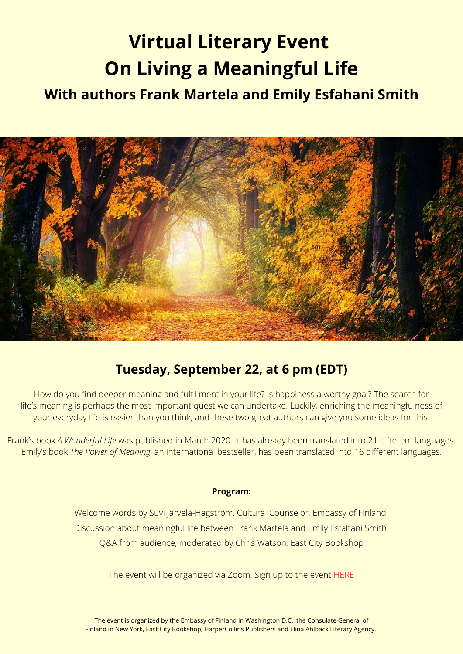# **Virtual Literary Event On Living a Meaningful Life**

## **With authors Frank Martela and Emily Esfahani Smith**



### **Tuesday, September 22, at 6 pm (EDT)**

How do you find deeper meaning and fulfillment in your life? Is happiness a worthy goal? The search for life's meaning is perhaps the most important quest we can undertake. Luckily, enriching the meaningfulness of your everyday life is easier than you think, and these two great authors can give you some ideas for this.

Frank's book *A Wonderful Life* was published in March 2020. It has already been translated into 21 different languages. Emily's book *The Power of Meaning*, an international bestseller, has been translated into 16 different languages.

#### **Program:**

Welcome words by Suvi Järvelä-Hagström, Cultural Counselor, Embassy of Finland Discussion about meaningful life between Frank Martela and Emily Esfahani Smith Q&A from audience, moderated by Chris Watson, East City Bookshop

The event will be organized via Zoom. Sign up to the event **[HERE](https://www.eventbrite.com/e/on-living-a-meaningful-life-authors-frank-martela-and-emily-esfahani-smith-tickets-118662020297)**